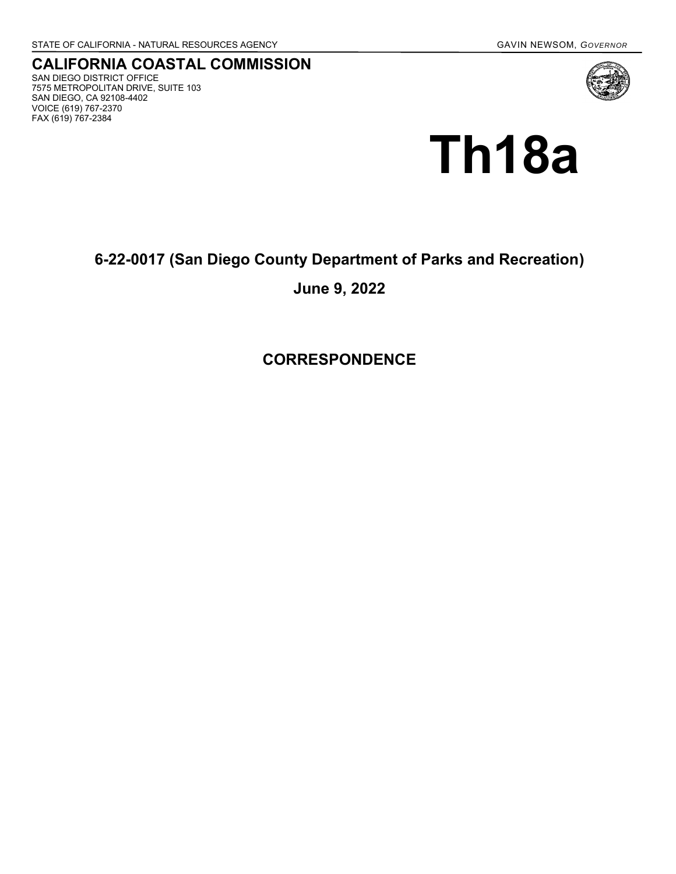## **CALIFORNIA COASTAL COMMISSION** SAN DIEGO DISTRICT OFFICE 7575 METROPOLITAN DRIVE, SUITE 103 SAN DIEGO, CA 92108-4402 VOICE (619) 767-2370 FAX (619) 767-2384



## **6-22-0017 (San Diego County Department of Parks and Recreation)**

## **June 9, 2022**

**CORRESPONDENCE**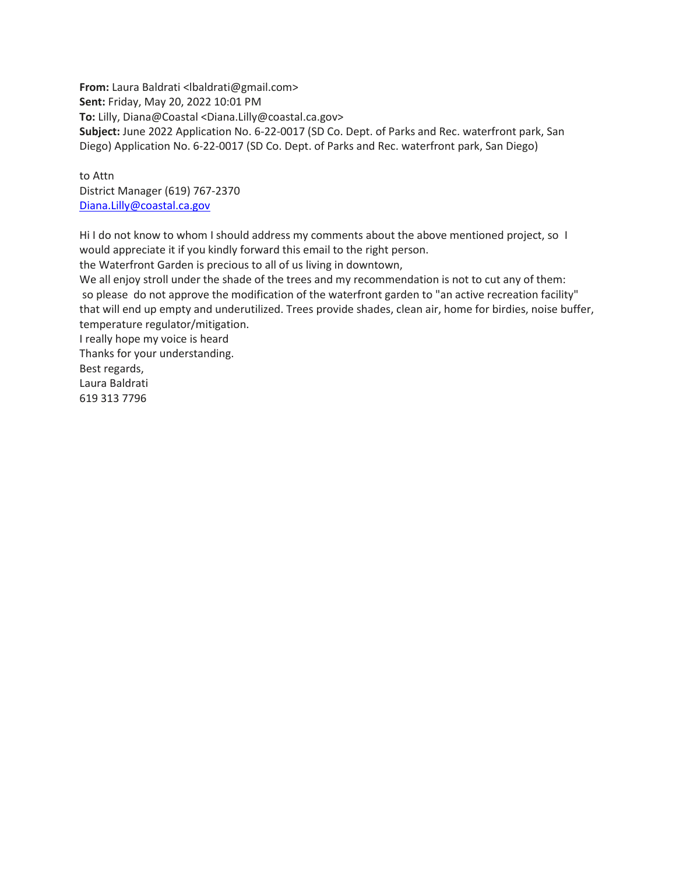**From:** Laura Baldrati <lbaldrati@gmail.com> **Sent:** Friday, May 20, 2022 10:01 PM **To:** Lilly, Diana@Coastal <Diana.Lilly@coastal.ca.gov> **Subject:** June 2022 Application No. 6-22-0017 (SD Co. Dept. of Parks and Rec. waterfront park, San Diego) Application No. 6-22-0017 (SD Co. Dept. of Parks and Rec. waterfront park, San Diego)

to Attn District Manager (619) 767-2370 [Diana.Lilly@coastal.ca.gov](mailto:Diana.Lilly@coastal.ca.gov)

Hi I do not know to whom I should address my comments about the above mentioned project, so I would appreciate it if you kindly forward this email to the right person.

the Waterfront Garden is precious to all of us living in downtown,

We all enjoy stroll under the shade of the trees and my recommendation is not to cut any of them: so please do not approve the modification of the waterfront garden to "an active recreation facility" that will end up empty and underutilized. Trees provide shades, clean air, home for birdies, noise buffer, temperature regulator/mitigation.

I really hope my voice is heard

Thanks for your understanding.

Best regards, Laura Baldrati 619 313 7796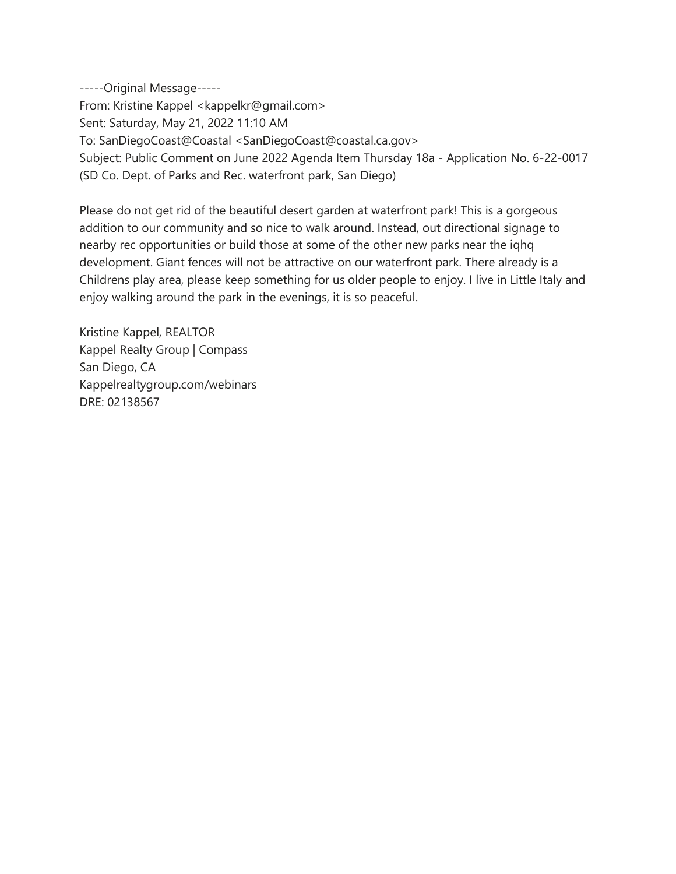-----Original Message----- From: Kristine Kappel <kappelkr@gmail.com> Sent: Saturday, May 21, 2022 11:10 AM To: SanDiegoCoast@Coastal <SanDiegoCoast@coastal.ca.gov> Subject: Public Comment on June 2022 Agenda Item Thursday 18a - Application No. 6-22-0017 (SD Co. Dept. of Parks and Rec. waterfront park, San Diego)

Please do not get rid of the beautiful desert garden at waterfront park! This is a gorgeous addition to our community and so nice to walk around. Instead, out directional signage to nearby rec opportunities or build those at some of the other new parks near the iqhq development. Giant fences will not be attractive on our waterfront park. There already is a Childrens play area, please keep something for us older people to enjoy. I live in Little Italy and enjoy walking around the park in the evenings, it is so peaceful.

Kristine Kappel, REALTOR Kappel Realty Group | Compass San Diego, CA Kappelrealtygroup.com/webinars DRE: 02138567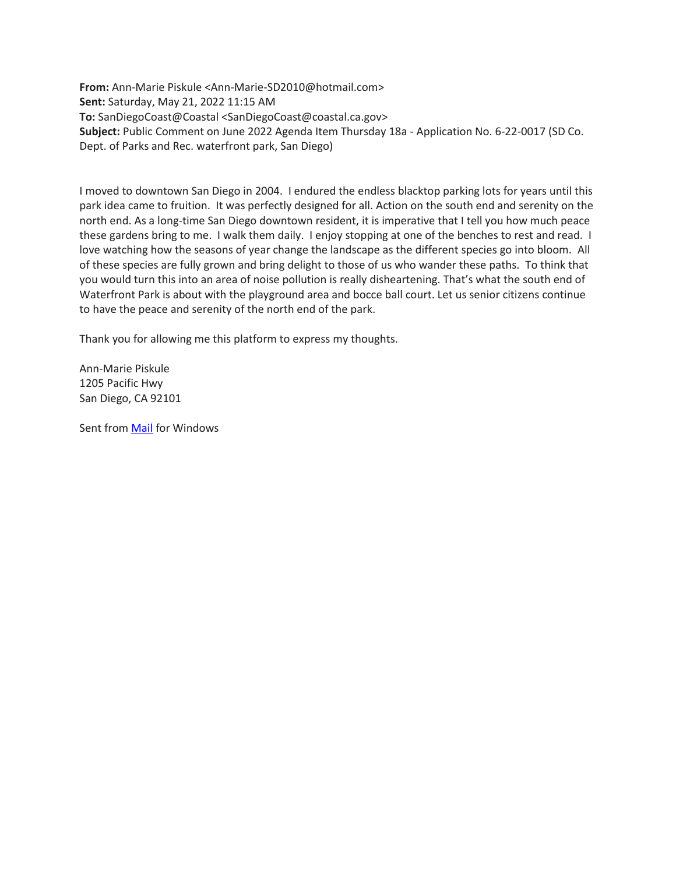**From:** Ann-Marie Piskule <Ann-Marie-SD2010@hotmail.com> **Sent:** Saturday, May 21, 2022 11:15 AM **To:** SanDiegoCoast@Coastal <SanDiegoCoast@coastal.ca.gov> **Subject:** Public Comment on June 2022 Agenda Item Thursday 18a - Application No. 6-22-0017 (SD Co. Dept. of Parks and Rec. waterfront park, San Diego)

I moved to downtown San Diego in 2004. I endured the endless blacktop parking lots for years until this park idea came to fruition. It was perfectly designed for all. Action on the south end and serenity on the north end. As a long-time San Diego downtown resident, it is imperative that I tell you how much peace these gardens bring to me. I walk them daily. I enjoy stopping at one of the benches to rest and read. I love watching how the seasons of year change the landscape as the different species go into bloom. All of these species are fully grown and bring delight to those of us who wander these paths. To think that you would turn this into an area of noise pollution is really disheartening. That's what the south end of Waterfront Park is about with the playground area and bocce ball court. Let us senior citizens continue to have the peace and serenity of the north end of the park.

Thank you for allowing me this platform to express my thoughts.

Ann-Marie Piskule 1205 Pacific Hwy San Diego, CA 92101

Sent from [Mail](https://go.microsoft.com/fwlink/?LinkId=550986) for Windows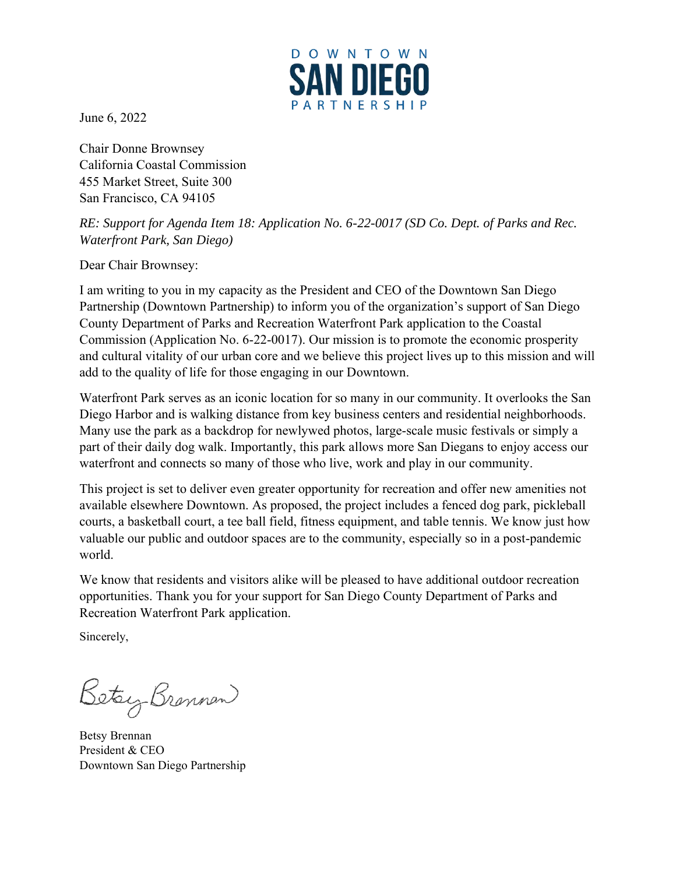

June 6, 2022

Chair Donne Brownsey California Coastal Commission 455 Market Street, Suite 300 San Francisco, CA 94105

*RE: Support for Agenda Item 18: Application No. 6-22-0017 (SD Co. Dept. of Parks and Rec. Waterfront Park, San Diego)*

Dear Chair Brownsey:

I am writing to you in my capacity as the President and CEO of the Downtown San Diego Partnership (Downtown Partnership) to inform you of the organization's support of San Diego County Department of Parks and Recreation Waterfront Park application to the Coastal Commission (Application No. 6-22-0017). Our mission is to promote the economic prosperity and cultural vitality of our urban core and we believe this project lives up to this mission and will add to the quality of life for those engaging in our Downtown.

Waterfront Park serves as an iconic location for so many in our community. It overlooks the San Diego Harbor and is walking distance from key business centers and residential neighborhoods. Many use the park as a backdrop for newlywed photos, large-scale music festivals or simply a part of their daily dog walk. Importantly, this park allows more San Diegans to enjoy access our waterfront and connects so many of those who live, work and play in our community.

This project is set to deliver even greater opportunity for recreation and offer new amenities not available elsewhere Downtown. As proposed, the project includes a fenced dog park, pickleball courts, a basketball court, a tee ball field, fitness equipment, and table tennis. We know just how valuable our public and outdoor spaces are to the community, especially so in a post-pandemic world.

We know that residents and visitors alike will be pleased to have additional outdoor recreation opportunities. Thank you for your support for San Diego County Department of Parks and Recreation Waterfront Park application.

Sincerely,

Betay Brennen

Betsy Brennan President & CEO Downtown San Diego Partnership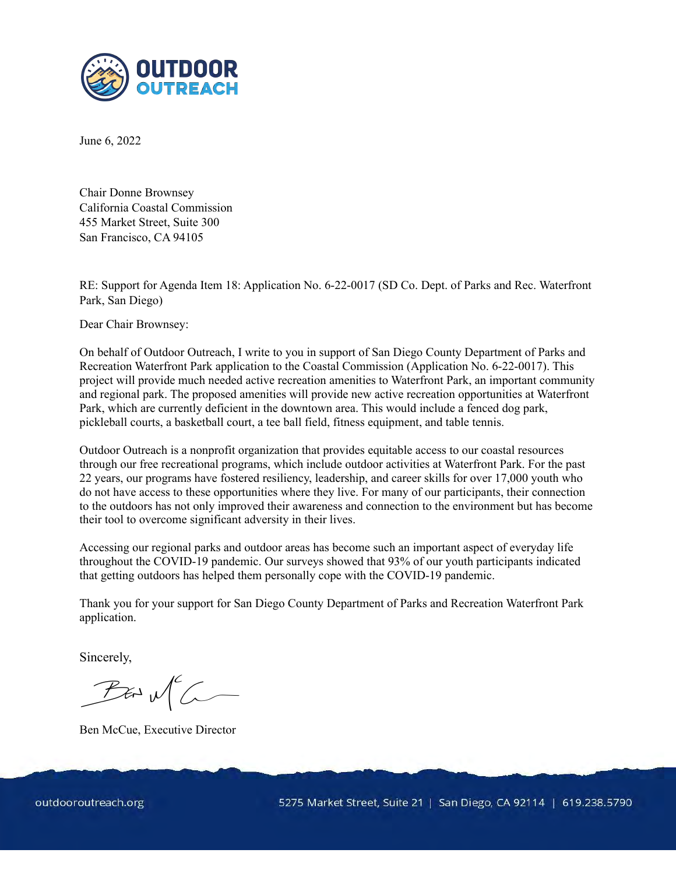

June 6, 2022

Chair Donne Brownsey California Coastal Commission 455 Market Street, Suite 300 San Francisco, CA 94105

RE: Support for Agenda Item 18: Application No. 6-22-0017 (SD Co. Dept. of Parks and Rec. Waterfront Park, San Diego)

Dear Chair Brownsey:

On behalf of Outdoor Outreach, I write to you in support of San Diego County Department of Parks and Recreation Waterfront Park application to the Coastal Commission (Application No. 6-22-0017). This project will provide much needed active recreation amenities to Waterfront Park, an important community and regional park. The proposed amenities will provide new active recreation opportunities at Waterfront Park, which are currently deficient in the downtown area. This would include a fenced dog park, pickleball courts, a basketball court, a tee ball field, fitness equipment, and table tennis.

Outdoor Outreach is a nonprofit organization that provides equitable access to our coastal resources through our free recreational programs, which include outdoor activities at Waterfront Park. For the past 22 years, our programs have fostered resiliency, leadership, and career skills for over 17,000 youth who do not have access to these opportunities where they live. For many of our participants, their connection to the outdoors has not only improved their awareness and connection to the environment but has become their tool to overcome significant adversity in their lives.

Accessing our regional parks and outdoor areas has become such an important aspect of everyday life throughout the COVID-19 pandemic. Our surveys showed that 93% of our youth participants indicated that getting outdoors has helped them personally cope with the COVID-19 pandemic.

Thank you for your support for San Diego County Department of Parks and Recreation Waterfront Park application.

Sincerely,

 $P$  as  $M^c$ 

Ben McCue, Executive Director